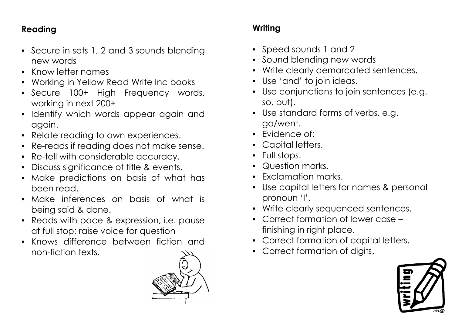## **Reading**

- Secure in sets 1, 2 and 3 sounds blending new words
- Know letter names
- Working in Yellow Read Write Inc books
- Secure 100+ High Frequency words, working in next 200+
- Identify which words appear again and again.
- Relate reading to own experiences.
- Re-reads if reading does not make sense.
- Re-tell with considerable accuracy.
- Discuss significance of title & events.
- Make predictions on basis of what has been read.
- Make inferences on basis of what is being said & done.
- Reads with pace & expression, i.e. pause at full stop; raise voice for question
- Knows difference between fiction and non-fiction texts.



## **Writing**

- Speed sounds 1 and 2
- Sound blending new words
- Write clearly demarcated sentences.
- Use 'and' to join ideas.
- Use conjunctions to join sentences (e.g. so, but).
- Use standard forms of verbs, e.g. go/went.
- Evidence of:
- Capital letters.
- Full stops.
- Question marks.
- Exclamation marks.
- Use capital letters for names & personal pronoun 'I'.
- Write clearly sequenced sentences.
- Correct formation of lower case finishing in right place.
- Correct formation of capital letters.
- Correct formation of digits.